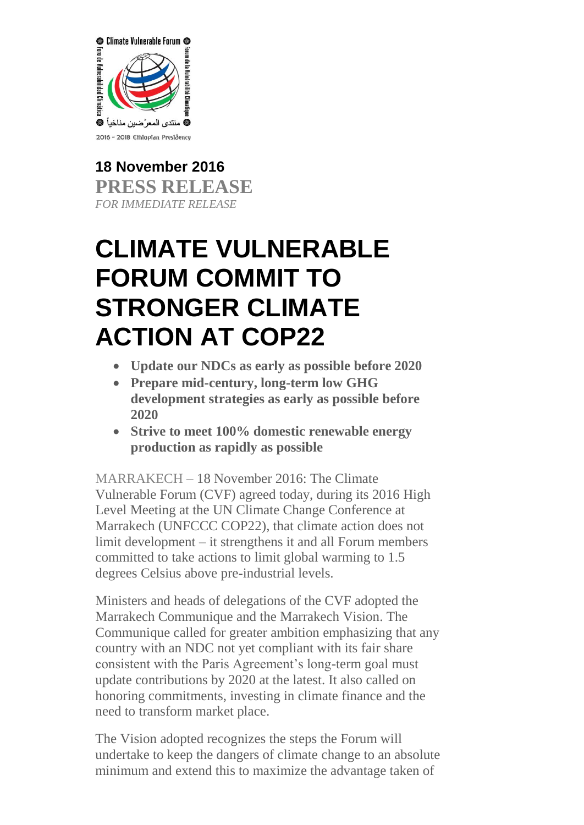

**18 November 2016 PRESS RELEASE** *FOR IMMEDIATE RELEASE*

# **CLIMATE VULNERABLE FORUM COMMIT TO STRONGER CLIMATE ACTION AT COP22**

- **Update our NDCs as early as possible before 2020**
- **Prepare mid-century, long-term low GHG development strategies as early as possible before 2020**
- **Strive to meet 100% domestic renewable energy production as rapidly as possible**

MARRAKECH – 18 November 2016: The Climate Vulnerable Forum (CVF) agreed today, during its 2016 High Level Meeting at the UN Climate Change Conference at Marrakech (UNFCCC COP22), that climate action does not limit development – it strengthens it and all Forum members committed to take actions to limit global warming to 1.5 degrees Celsius above pre-industrial levels.

Ministers and heads of delegations of the CVF adopted the Marrakech Communique and the Marrakech Vision. The Communique called for greater ambition emphasizing that any country with an NDC not yet compliant with its fair share consistent with the Paris Agreement's long-term goal must update contributions by 2020 at the latest. It also called on honoring commitments, investing in climate finance and the need to transform market place.

The Vision adopted recognizes the steps the Forum will undertake to keep the dangers of climate change to an absolute minimum and extend this to maximize the advantage taken of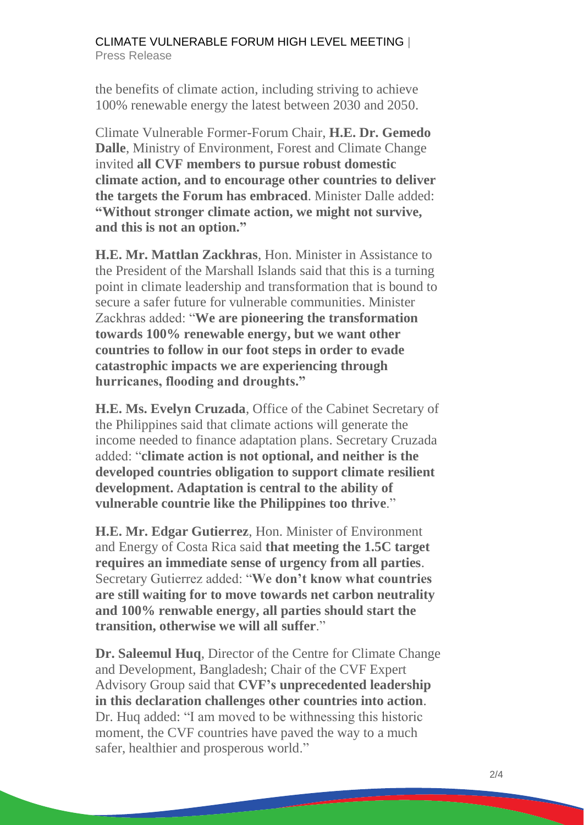#### CLIMATE VULNERABLE FORUM HIGH LEVEL MEETING | Press Release

the benefits of climate action, including striving to achieve 100% renewable energy the latest between 2030 and 2050.

Climate Vulnerable Former-Forum Chair, **H.E. Dr. Gemedo Dalle**, Ministry of Environment, Forest and Climate Change invited **all CVF members to pursue robust domestic climate action, and to encourage other countries to deliver the targets the Forum has embraced**. Minister Dalle added: **"Without stronger climate action, we might not survive, and this is not an option."**

**H.E. Mr. Mattlan Zackhras**, Hon. Minister in Assistance to the President of the Marshall Islands said that this is a turning point in climate leadership and transformation that is bound to secure a safer future for vulnerable communities. Minister Zackhras added: "**We are pioneering the transformation towards 100% renewable energy, but we want other countries to follow in our foot steps in order to evade catastrophic impacts we are experiencing through hurricanes, flooding and droughts."**

**H.E. Ms. Evelyn Cruzada**, Office of the Cabinet Secretary of the Philippines said that climate actions will generate the income needed to finance adaptation plans. Secretary Cruzada added: "**climate action is not optional, and neither is the developed countries obligation to support climate resilient development. Adaptation is central to the ability of vulnerable countrie like the Philippines too thrive**."

**H.E. Mr. Edgar Gutierrez**, Hon. Minister of Environment and Energy of Costa Rica said **that meeting the 1.5C target requires an immediate sense of urgency from all parties**. Secretary Gutierrez added: "**We don't know what countries are still waiting for to move towards net carbon neutrality and 100% renwable energy, all parties should start the transition, otherwise we will all suffer**."

**Dr. Saleemul Huq**, Director of the Centre for Climate Change and Development, Bangladesh; Chair of the CVF Expert Advisory Group said that **CVF's unprecedented leadership in this declaration challenges other countries into action**. Dr. Huq added: "I am moved to be withnessing this historic moment, the CVF countries have paved the way to a much safer, healthier and prosperous world."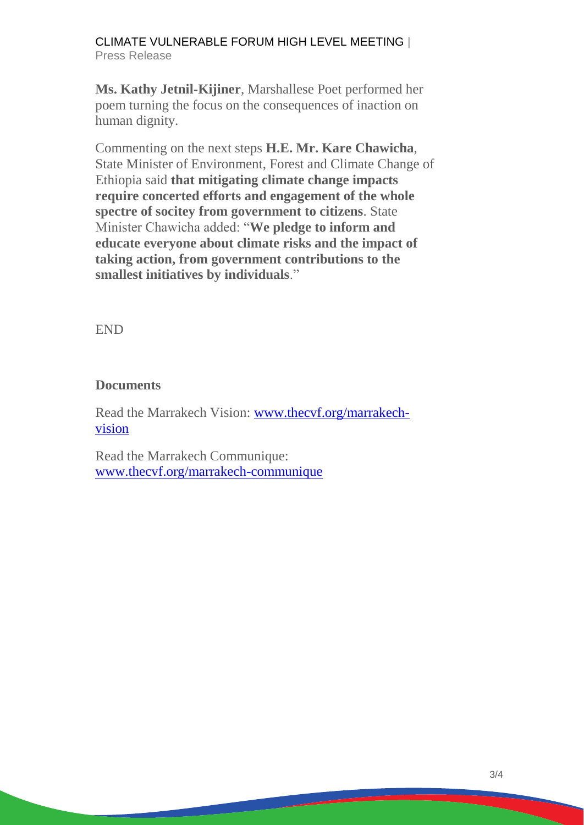### CLIMATE VULNERABLE FORUM HIGH LEVEL MEETING | Press Release

**Ms. Kathy Jetnil-Kijiner**, Marshallese Poet performed her poem turning the focus on the consequences of inaction on human dignity.

Commenting on the next steps **H.E. Mr. Kare Chawicha**, State Minister of Environment, Forest and Climate Change of Ethiopia said **that mitigating climate change impacts require concerted efforts and engagement of the whole spectre of socitey from government to citizens**. State Minister Chawicha added: "**We pledge to inform and educate everyone about climate risks and the impact of taking action, from government contributions to the smallest initiatives by individuals**."

END

## **Documents**

Read the Marrakech Vision: [www.thecvf.org/marrakech](http://www.thecvf.org/marrakech-vision)[vision](http://www.thecvf.org/marrakech-vision)

Read the Marrakech Communique: [www.thecvf.org/marrakech-communique](http://www.thecvf.org/marrakech-communique)